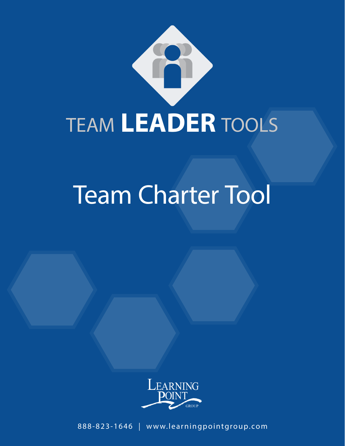

# Team Charter Tool



888-823-1646 | www.learningpointgroup.com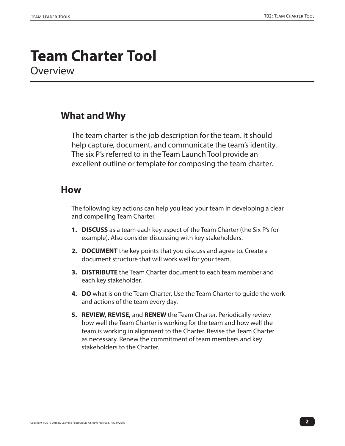### **Team Charter Tool Overview**

### **What and Why**

The team charter is the job description for the team. It should help capture, document, and communicate the team's identity. The six P's referred to in the Team Launch Tool provide an excellent outline or template for composing the team charter.

#### **How**

The following key actions can help you lead your team in developing a clear and compelling Team Charter.

- **1. DISCUSS** as a team each key aspect of the Team Charter (the Six P's for example). Also consider discussing with key stakeholders.
- **2. DOCUMENT** the key points that you discuss and agree to. Create a document structure that will work well for your team.
- **3. DISTRIBUTE** the Team Charter document to each team member and each key stakeholder.
- **4. DO** what is on the Team Charter. Use the Team Charter to guide the work and actions of the team every day.
- **5. REVIEW, REVISE,** and **RENEW** the Team Charter. Periodically review how well the Team Charter is working for the team and how well the team is working in alignment to the Charter. Revise the Team Charter as necessary. Renew the commitment of team members and key stakeholders to the Charter.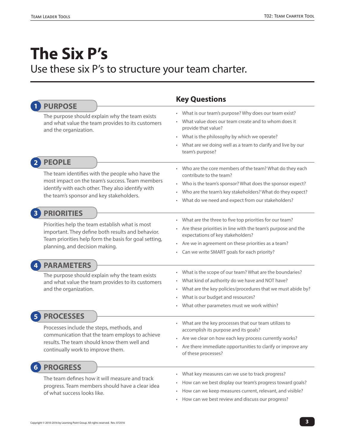# **The Six P's**

Use these six P's to structure your team charter.

| <b>PURPOSE</b>                                                                                                                                                                                                                                  | <b>Key Questions</b>                                                                                                                                                                                                                                                                           |  |  |
|-------------------------------------------------------------------------------------------------------------------------------------------------------------------------------------------------------------------------------------------------|------------------------------------------------------------------------------------------------------------------------------------------------------------------------------------------------------------------------------------------------------------------------------------------------|--|--|
| The purpose should explain why the team exists<br>and what value the team provides to its customers<br>and the organization.                                                                                                                    | • What is our team's purpose? Why does our team exist?<br>What value does our team create and to whom does it<br>provide that value?<br>• What is the philosophy by which we operate?<br>What are we doing well as a team to clarify and live by our<br>team's purpose?                        |  |  |
| <b>PEOPLE</b><br>The team identifies with the people who have the<br>most impact on the team's success. Team members<br>identify with each other. They also identify with<br>the team's sponsor and key stakeholders.<br><b>PRIORITIES</b><br>3 | • Who are the core members of the team? What do they each<br>contribute to the team?<br>• Who is the team's sponsor? What does the sponsor expect?<br>Who are the team's key stakeholders? What do they expect?<br>$\bullet$<br>What do we need and expect from our stakeholders?<br>$\bullet$ |  |  |
| Priorities help the team establish what is most<br>important. They define both results and behavior.<br>Team priorities help form the basis for goal setting,<br>planning, and decision making.                                                 | What are the three to five top priorities for our team?<br>$\bullet$<br>Are these priorities in line with the team's purpose and the<br>$\bullet$<br>expectations of key stakeholders?<br>• Are we in agreement on these priorities as a team?<br>Can we write SMART goals for each priority?  |  |  |
| <b>PARAMETERS</b><br>The purpose should explain why the team exists<br>and what value the team provides to its customers<br>and the organization.                                                                                               | • What is the scope of our team? What are the boundaries?<br>What kind of authority do we have and NOT have?<br>• What are the key policies/procedures that we must abide by?<br>What is our budget and resources?<br>$\bullet$<br>• What other parameters must we work within?                |  |  |
| <b>PROCESSES</b><br>Processes include the steps, methods, and<br>communication that the team employs to achieve<br>results. The team should know them well and<br>continually work to improve them.                                             | • What are the key processes that our team utilizes to<br>accomplish its purpose and its goals?<br>• Are we clear on how each key process currently works?<br>Are there immediate opportunities to clarify or improve any<br>of these processes?                                               |  |  |
| <b>PROGRESS</b><br>The team defines how it will measure and track<br>progress. Team members should have a clear idea<br>of what success looks like.                                                                                             | What key measures can we use to track progress?<br>$\bullet$<br>How can we best display our team's progress toward goals?<br>How can we keep measures current, relevant, and visible?<br>$\bullet$<br>• How can we best review and discuss our progress?                                       |  |  |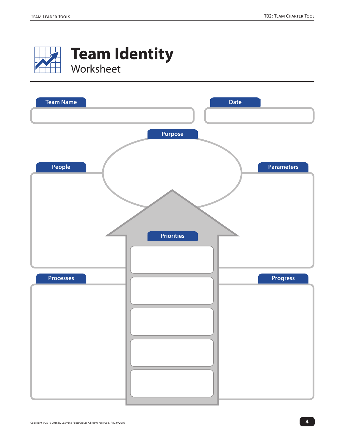

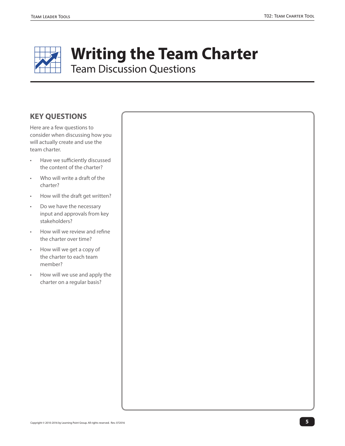

## **Writing the Team Charter**

Team Discussion Questions

#### **KEY QUESTIONS**

Here are a few questions to consider when discussing how you will actually create and use the team charter.

- Have we sufficiently discussed the content of the charter?
- Who will write a draft of the charter?
- How will the draft get written?
- Do we have the necessary input and approvals from key stakeholders?
- How will we review and refine the charter over time?
- How will we get a copy of the charter to each team member?
- How will we use and apply the charter on a regular basis?